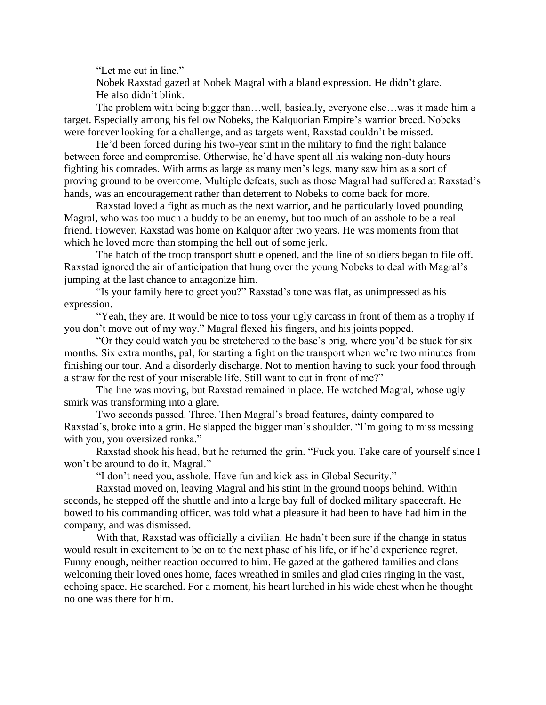"Let me cut in line."

Nobek Raxstad gazed at Nobek Magral with a bland expression. He didn't glare. He also didn't blink.

The problem with being bigger than…well, basically, everyone else…was it made him a target. Especially among his fellow Nobeks, the Kalquorian Empire's warrior breed. Nobeks were forever looking for a challenge, and as targets went, Raxstad couldn't be missed.

He'd been forced during his two-year stint in the military to find the right balance between force and compromise. Otherwise, he'd have spent all his waking non-duty hours fighting his comrades. With arms as large as many men's legs, many saw him as a sort of proving ground to be overcome. Multiple defeats, such as those Magral had suffered at Raxstad's hands, was an encouragement rather than deterrent to Nobeks to come back for more.

Raxstad loved a fight as much as the next warrior, and he particularly loved pounding Magral, who was too much a buddy to be an enemy, but too much of an asshole to be a real friend. However, Raxstad was home on Kalquor after two years. He was moments from that which he loved more than stomping the hell out of some jerk.

The hatch of the troop transport shuttle opened, and the line of soldiers began to file off. Raxstad ignored the air of anticipation that hung over the young Nobeks to deal with Magral's jumping at the last chance to antagonize him.

"Is your family here to greet you?" Raxstad's tone was flat, as unimpressed as his expression.

"Yeah, they are. It would be nice to toss your ugly carcass in front of them as a trophy if you don't move out of my way." Magral flexed his fingers, and his joints popped.

"Or they could watch you be stretchered to the base's brig, where you'd be stuck for six months. Six extra months, pal, for starting a fight on the transport when we're two minutes from finishing our tour. And a disorderly discharge. Not to mention having to suck your food through a straw for the rest of your miserable life. Still want to cut in front of me?"

The line was moving, but Raxstad remained in place. He watched Magral, whose ugly smirk was transforming into a glare.

Two seconds passed. Three. Then Magral's broad features, dainty compared to Raxstad's, broke into a grin. He slapped the bigger man's shoulder. "I'm going to miss messing with you, you oversized ronka."

Raxstad shook his head, but he returned the grin. "Fuck you. Take care of yourself since I won't be around to do it, Magral."

"I don't need you, asshole. Have fun and kick ass in Global Security."

Raxstad moved on, leaving Magral and his stint in the ground troops behind. Within seconds, he stepped off the shuttle and into a large bay full of docked military spacecraft. He bowed to his commanding officer, was told what a pleasure it had been to have had him in the company, and was dismissed.

With that, Raxstad was officially a civilian. He hadn't been sure if the change in status would result in excitement to be on to the next phase of his life, or if he'd experience regret. Funny enough, neither reaction occurred to him. He gazed at the gathered families and clans welcoming their loved ones home, faces wreathed in smiles and glad cries ringing in the vast, echoing space. He searched. For a moment, his heart lurched in his wide chest when he thought no one was there for him.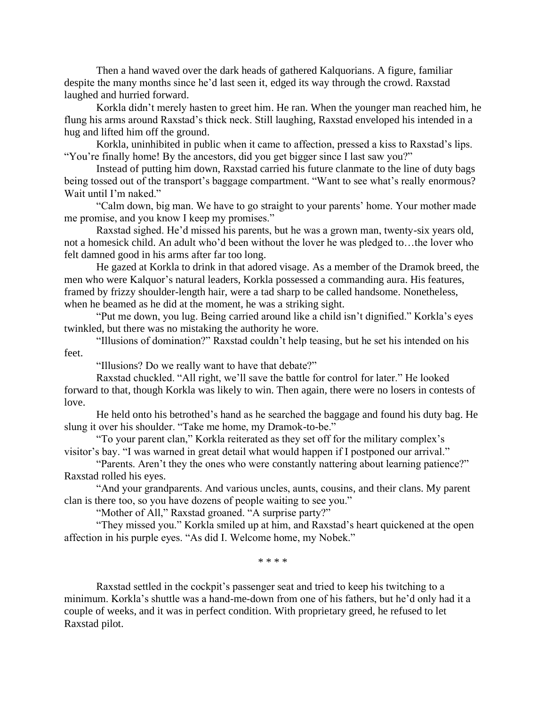Then a hand waved over the dark heads of gathered Kalquorians. A figure, familiar despite the many months since he'd last seen it, edged its way through the crowd. Raxstad laughed and hurried forward.

Korkla didn't merely hasten to greet him. He ran. When the younger man reached him, he flung his arms around Raxstad's thick neck. Still laughing, Raxstad enveloped his intended in a hug and lifted him off the ground.

Korkla, uninhibited in public when it came to affection, pressed a kiss to Raxstad's lips. "You're finally home! By the ancestors, did you get bigger since I last saw you?"

Instead of putting him down, Raxstad carried his future clanmate to the line of duty bags being tossed out of the transport's baggage compartment. "Want to see what's really enormous? Wait until I'm naked."

"Calm down, big man. We have to go straight to your parents' home. Your mother made me promise, and you know I keep my promises."

Raxstad sighed. He'd missed his parents, but he was a grown man, twenty-six years old, not a homesick child. An adult who'd been without the lover he was pledged to…the lover who felt damned good in his arms after far too long.

He gazed at Korkla to drink in that adored visage. As a member of the Dramok breed, the men who were Kalquor's natural leaders, Korkla possessed a commanding aura. His features, framed by frizzy shoulder-length hair, were a tad sharp to be called handsome. Nonetheless, when he beamed as he did at the moment, he was a striking sight.

"Put me down, you lug. Being carried around like a child isn't dignified." Korkla's eyes twinkled, but there was no mistaking the authority he wore.

"Illusions of domination?" Raxstad couldn't help teasing, but he set his intended on his feet.

"Illusions? Do we really want to have that debate?"

Raxstad chuckled. "All right, we'll save the battle for control for later." He looked forward to that, though Korkla was likely to win. Then again, there were no losers in contests of love.

He held onto his betrothed's hand as he searched the baggage and found his duty bag. He slung it over his shoulder. "Take me home, my Dramok-to-be."

"To your parent clan," Korkla reiterated as they set off for the military complex's visitor's bay. "I was warned in great detail what would happen if I postponed our arrival."

"Parents. Aren't they the ones who were constantly nattering about learning patience?" Raxstad rolled his eyes.

"And your grandparents. And various uncles, aunts, cousins, and their clans. My parent clan is there too, so you have dozens of people waiting to see you."

"Mother of All," Raxstad groaned. "A surprise party?"

"They missed you." Korkla smiled up at him, and Raxstad's heart quickened at the open affection in his purple eyes. "As did I. Welcome home, my Nobek."

\* \* \* \*

Raxstad settled in the cockpit's passenger seat and tried to keep his twitching to a minimum. Korkla's shuttle was a hand-me-down from one of his fathers, but he'd only had it a couple of weeks, and it was in perfect condition. With proprietary greed, he refused to let Raxstad pilot.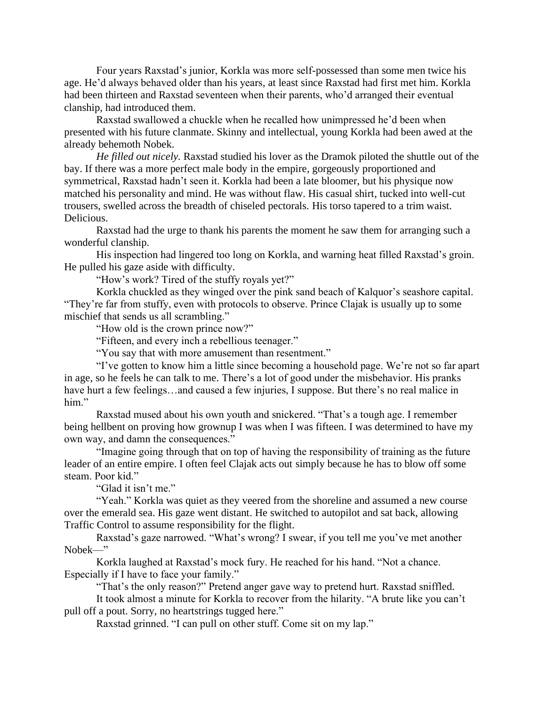Four years Raxstad's junior, Korkla was more self-possessed than some men twice his age. He'd always behaved older than his years, at least since Raxstad had first met him. Korkla had been thirteen and Raxstad seventeen when their parents, who'd arranged their eventual clanship, had introduced them.

Raxstad swallowed a chuckle when he recalled how unimpressed he'd been when presented with his future clanmate. Skinny and intellectual, young Korkla had been awed at the already behemoth Nobek.

*He filled out nicely.* Raxstad studied his lover as the Dramok piloted the shuttle out of the bay. If there was a more perfect male body in the empire, gorgeously proportioned and symmetrical, Raxstad hadn't seen it. Korkla had been a late bloomer, but his physique now matched his personality and mind. He was without flaw. His casual shirt, tucked into well-cut trousers, swelled across the breadth of chiseled pectorals. His torso tapered to a trim waist. Delicious.

Raxstad had the urge to thank his parents the moment he saw them for arranging such a wonderful clanship.

His inspection had lingered too long on Korkla, and warning heat filled Raxstad's groin. He pulled his gaze aside with difficulty.

"How's work? Tired of the stuffy royals yet?"

Korkla chuckled as they winged over the pink sand beach of Kalquor's seashore capital. "They're far from stuffy, even with protocols to observe. Prince Clajak is usually up to some mischief that sends us all scrambling."

"How old is the crown prince now?"

"Fifteen, and every inch a rebellious teenager."

"You say that with more amusement than resentment."

"I've gotten to know him a little since becoming a household page. We're not so far apart in age, so he feels he can talk to me. There's a lot of good under the misbehavior. His pranks have hurt a few feelings...and caused a few injuries, I suppose. But there's no real malice in him."

Raxstad mused about his own youth and snickered. "That's a tough age. I remember being hellbent on proving how grownup I was when I was fifteen. I was determined to have my own way, and damn the consequences."

"Imagine going through that on top of having the responsibility of training as the future leader of an entire empire. I often feel Clajak acts out simply because he has to blow off some steam. Poor kid."

"Glad it isn't me."

"Yeah." Korkla was quiet as they veered from the shoreline and assumed a new course over the emerald sea. His gaze went distant. He switched to autopilot and sat back, allowing Traffic Control to assume responsibility for the flight.

Raxstad's gaze narrowed. "What's wrong? I swear, if you tell me you've met another Nobek—"

Korkla laughed at Raxstad's mock fury. He reached for his hand. "Not a chance. Especially if I have to face your family."

"That's the only reason?" Pretend anger gave way to pretend hurt. Raxstad sniffled. It took almost a minute for Korkla to recover from the hilarity. "A brute like you can't pull off a pout. Sorry, no heartstrings tugged here."

Raxstad grinned. "I can pull on other stuff. Come sit on my lap."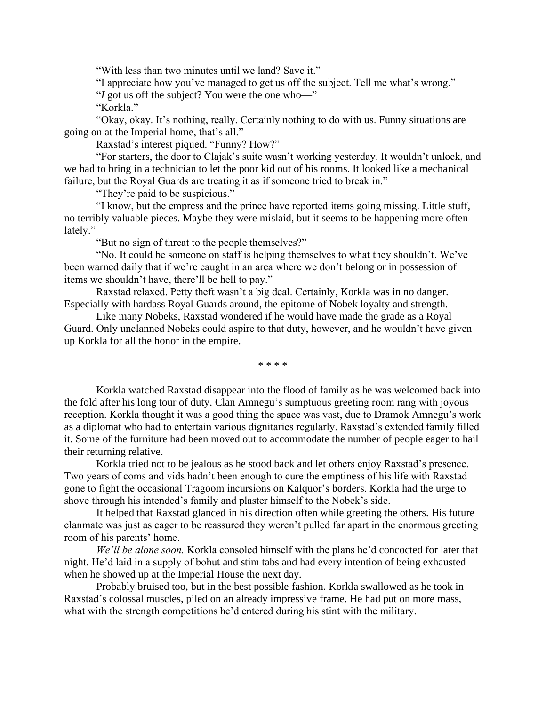"With less than two minutes until we land? Save it."

"I appreciate how you've managed to get us off the subject. Tell me what's wrong."

"*I* got us off the subject? You were the one who—"

"Korkla."

"Okay, okay. It's nothing, really. Certainly nothing to do with us. Funny situations are going on at the Imperial home, that's all."

Raxstad's interest piqued. "Funny? How?"

"For starters, the door to Clajak's suite wasn't working yesterday. It wouldn't unlock, and we had to bring in a technician to let the poor kid out of his rooms. It looked like a mechanical failure, but the Royal Guards are treating it as if someone tried to break in."

"They're paid to be suspicious."

"I know, but the empress and the prince have reported items going missing. Little stuff, no terribly valuable pieces. Maybe they were mislaid, but it seems to be happening more often lately."

"But no sign of threat to the people themselves?"

"No. It could be someone on staff is helping themselves to what they shouldn't. We've been warned daily that if we're caught in an area where we don't belong or in possession of items we shouldn't have, there'll be hell to pay."

Raxstad relaxed. Petty theft wasn't a big deal. Certainly, Korkla was in no danger. Especially with hardass Royal Guards around, the epitome of Nobek loyalty and strength.

Like many Nobeks, Raxstad wondered if he would have made the grade as a Royal Guard. Only unclanned Nobeks could aspire to that duty, however, and he wouldn't have given up Korkla for all the honor in the empire.

\* \* \* \*

Korkla watched Raxstad disappear into the flood of family as he was welcomed back into the fold after his long tour of duty. Clan Amnegu's sumptuous greeting room rang with joyous reception. Korkla thought it was a good thing the space was vast, due to Dramok Amnegu's work as a diplomat who had to entertain various dignitaries regularly. Raxstad's extended family filled it. Some of the furniture had been moved out to accommodate the number of people eager to hail their returning relative.

Korkla tried not to be jealous as he stood back and let others enjoy Raxstad's presence. Two years of coms and vids hadn't been enough to cure the emptiness of his life with Raxstad gone to fight the occasional Tragoom incursions on Kalquor's borders. Korkla had the urge to shove through his intended's family and plaster himself to the Nobek's side.

It helped that Raxstad glanced in his direction often while greeting the others. His future clanmate was just as eager to be reassured they weren't pulled far apart in the enormous greeting room of his parents' home.

*We'll be alone soon.* Korkla consoled himself with the plans he'd concocted for later that night. He'd laid in a supply of bohut and stim tabs and had every intention of being exhausted when he showed up at the Imperial House the next day.

Probably bruised too, but in the best possible fashion. Korkla swallowed as he took in Raxstad's colossal muscles, piled on an already impressive frame. He had put on more mass, what with the strength competitions he'd entered during his stint with the military.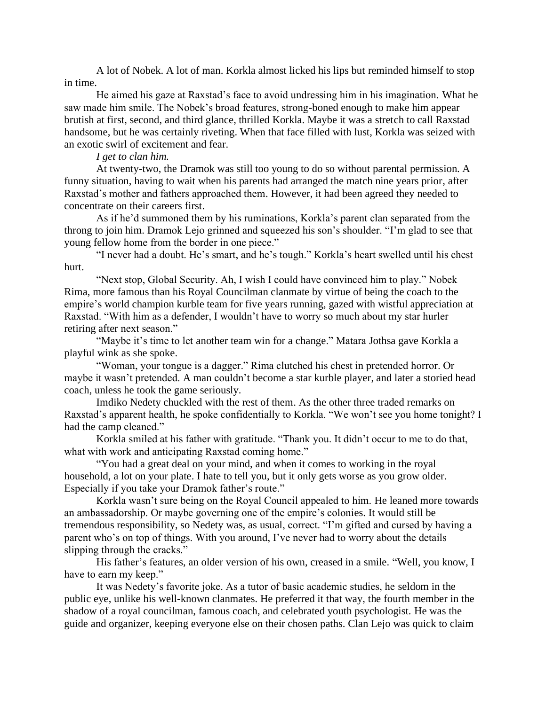A lot of Nobek. A lot of man. Korkla almost licked his lips but reminded himself to stop in time.

He aimed his gaze at Raxstad's face to avoid undressing him in his imagination. What he saw made him smile. The Nobek's broad features, strong-boned enough to make him appear brutish at first, second, and third glance, thrilled Korkla. Maybe it was a stretch to call Raxstad handsome, but he was certainly riveting. When that face filled with lust, Korkla was seized with an exotic swirl of excitement and fear.

*I get to clan him.*

At twenty-two, the Dramok was still too young to do so without parental permission. A funny situation, having to wait when his parents had arranged the match nine years prior, after Raxstad's mother and fathers approached them. However, it had been agreed they needed to concentrate on their careers first.

As if he'd summoned them by his ruminations, Korkla's parent clan separated from the throng to join him. Dramok Lejo grinned and squeezed his son's shoulder. "I'm glad to see that young fellow home from the border in one piece."

"I never had a doubt. He's smart, and he's tough." Korkla's heart swelled until his chest hurt.

"Next stop, Global Security. Ah, I wish I could have convinced him to play." Nobek Rima, more famous than his Royal Councilman clanmate by virtue of being the coach to the empire's world champion kurble team for five years running, gazed with wistful appreciation at Raxstad. "With him as a defender, I wouldn't have to worry so much about my star hurler retiring after next season."

"Maybe it's time to let another team win for a change." Matara Jothsa gave Korkla a playful wink as she spoke.

"Woman, your tongue is a dagger." Rima clutched his chest in pretended horror. Or maybe it wasn't pretended. A man couldn't become a star kurble player, and later a storied head coach, unless he took the game seriously.

Imdiko Nedety chuckled with the rest of them. As the other three traded remarks on Raxstad's apparent health, he spoke confidentially to Korkla. "We won't see you home tonight? I had the camp cleaned."

Korkla smiled at his father with gratitude. "Thank you. It didn't occur to me to do that, what with work and anticipating Raxstad coming home."

"You had a great deal on your mind, and when it comes to working in the royal household, a lot on your plate. I hate to tell you, but it only gets worse as you grow older. Especially if you take your Dramok father's route."

Korkla wasn't sure being on the Royal Council appealed to him. He leaned more towards an ambassadorship. Or maybe governing one of the empire's colonies. It would still be tremendous responsibility, so Nedety was, as usual, correct. "I'm gifted and cursed by having a parent who's on top of things. With you around, I've never had to worry about the details slipping through the cracks."

His father's features, an older version of his own, creased in a smile. "Well, you know, I have to earn my keep."

It was Nedety's favorite joke. As a tutor of basic academic studies, he seldom in the public eye, unlike his well-known clanmates. He preferred it that way, the fourth member in the shadow of a royal councilman, famous coach, and celebrated youth psychologist. He was the guide and organizer, keeping everyone else on their chosen paths. Clan Lejo was quick to claim